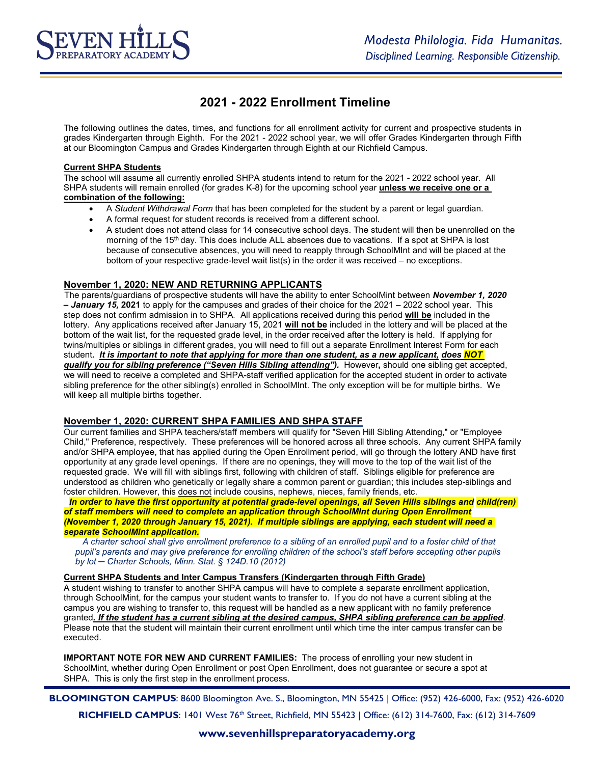# **2021 - 2022 Enrollment Timeline**

The following outlines the dates, times, and functions for all enrollment activity for current and prospective students in grades Kindergarten through Eighth. For the 2021 - 2022 school year, we will offer Grades Kindergarten through Fifth at our Bloomington Campus and Grades Kindergarten through Eighth at our Richfield Campus.

### **Current SHPA Students**

The school will assume all currently enrolled SHPA students intend to return for the 2021 - 2022 school year. All SHPA students will remain enrolled (for grades K-8) for the upcoming school year **unless we receive one or a combination of the following:**

- A *Student Withdrawal Form* that has been completed for the student by a parent or legal guardian.
- A formal request for student records is received from a different school.
- A student does not attend class for 14 consecutive school days. The student will then be unenrolled on the morning of the 15<sup>th</sup> day. This does include ALL absences due to vacations. If a spot at SHPA is lost because of consecutive absences, you will need to reapply through SchoolMInt and will be placed at the bottom of your respective grade-level wait list(s) in the order it was received – no exceptions.

## **November 1, 2020: NEW AND RETURNING APPLICANTS**

The parents/guardians of prospective students will have the ability to enter SchoolMint between *November 1, 2020 – January 15,* **2021** to apply for the campuses and grades of their choice for the 2021 – 2022 school year. This step does not confirm admission in to SHPA*.* All applications received during this period **will be** included in the lottery. Any applications received after January 15, 2021 **will not be** included in the lottery and will be placed at the bottom of the wait list, for the requested grade level, in the order received after the lottery is held. If applying for twins/multiples or siblings in different grades, you will need to fill out a separate Enrollment Interest Form for each student*. It is important to note that applying for more than one student, as a new applicant, does NOT qualify you for sibling preference ("Seven Hills Sibling attending").* However**,** should one sibling get accepted, we will need to receive a completed and SHPA-staff verified application for the accepted student in order to activate sibling preference for the other sibling(s) enrolled in SchoolMInt. The only exception will be for multiple births. We will keep all multiple births together.

## **November 1, 2020: CURRENT SHPA FAMILIES AND SHPA STAFF**

Our current families and SHPA teachers/staff members will qualify for "Seven Hill Sibling Attending," or "Employee Child," Preference, respectively. These preferences will be honored across all three schools. Any current SHPA family and/or SHPA employee, that has applied during the Open Enrollment period, will go through the lottery AND have first opportunity at any grade level openings. If there are no openings, they will move to the top of the wait list of the requested grade. We will fill with siblings first, following with children of staff. Siblings eligible for preference are understood as children who genetically or legally share a common parent or guardian; this includes step-siblings and foster children. However, this does not include cousins, nephews, nieces, family friends, etc.

*In order to have the first opportunity at potential grade-level openings, all Seven Hills siblings and child(ren) of staff members will need to complete an application through SchoolMInt during Open Enrollment (November 1, 2020 through January 15, 2021). If multiple siblings are applying, each student will need a separate SchoolMint application.*

*A charter school shall give enrollment preference to a sibling of an enrolled pupil and to a foster child of that pupil's parents and may give preference for enrolling children of the school's staff before accepting other pupils by lot ─ Charter Schools, Minn. Stat. § 124D.10 (2012)*

#### **Current SHPA Students and Inter Campus Transfers (Kindergarten through Fifth Grade)**

A student wishing to transfer to another SHPA campus will have to complete a separate enrollment application, through SchoolMint, for the campus your student wants to transfer to. If you do not have a current sibling at the campus you are wishing to transfer to, this request will be handled as a new applicant with no family preference granted*. If the student has a current sibling at the desired campus, SHPA sibling preference can be applied*. Please note that the student will maintain their current enrollment until which time the inter campus transfer can be executed.

**IMPORTANT NOTE FOR NEW AND CURRENT FAMILIES:** The process of enrolling your new student in SchoolMint, whether during Open Enrollment or post Open Enrollment, does not guarantee or secure a spot at SHPA. This is only the first step in the enrollment process.

**BLOOMINGTON CAMPUS**: 8600 Bloomington Ave. S., Bloomington, MN 55425 | Office: (952) 426-6000, Fax: (952) 426-6020 **RICHFIELD CAMPUS**: 1401 West 76<sup>th</sup> Street, Richfield, MN 55423 | Office: (612) 314-7600, Fax: (612) 314-7609